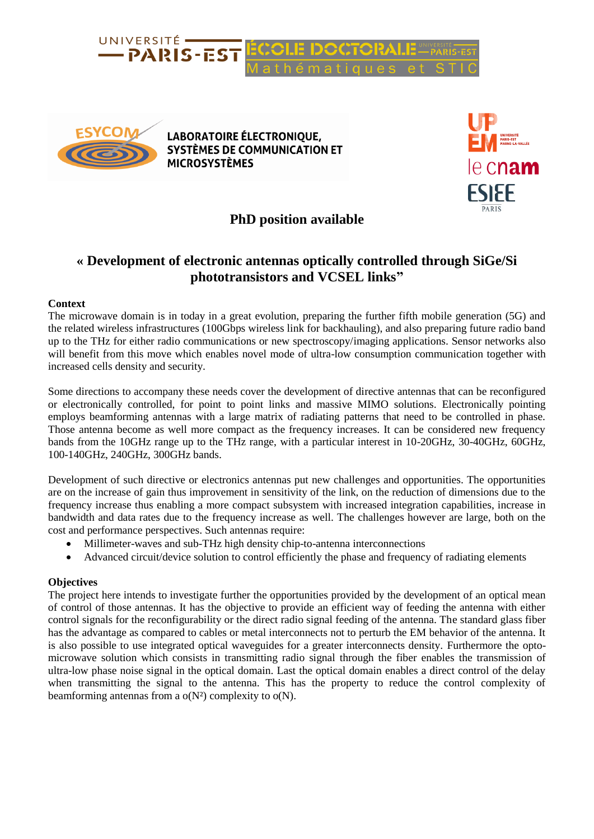



**LABORATOIRE ÉLECTRONIQUE, SYSTÈMES DE COMMUNICATION ET MICROSYSTÈMES** 



## **PhD position available**

# **« Development of electronic antennas optically controlled through SiGe/Si phototransistors and VCSEL links"**

### **Context**

The microwave domain is in today in a great evolution, preparing the further fifth mobile generation (5G) and the related wireless infrastructures (100Gbps wireless link for backhauling), and also preparing future radio band up to the THz for either radio communications or new spectroscopy/imaging applications. Sensor networks also will benefit from this move which enables novel mode of ultra-low consumption communication together with increased cells density and security.

Some directions to accompany these needs cover the development of directive antennas that can be reconfigured or electronically controlled, for point to point links and massive MIMO solutions. Electronically pointing employs beamforming antennas with a large matrix of radiating patterns that need to be controlled in phase. Those antenna become as well more compact as the frequency increases. It can be considered new frequency bands from the 10GHz range up to the THz range, with a particular interest in 10-20GHz, 30-40GHz, 60GHz, 100-140GHz, 240GHz, 300GHz bands.

Development of such directive or electronics antennas put new challenges and opportunities. The opportunities are on the increase of gain thus improvement in sensitivity of the link, on the reduction of dimensions due to the frequency increase thus enabling a more compact subsystem with increased integration capabilities, increase in bandwidth and data rates due to the frequency increase as well. The challenges however are large, both on the cost and performance perspectives. Such antennas require:

- Millimeter-waves and sub-THz high density chip-to-antenna interconnections
- Advanced circuit/device solution to control efficiently the phase and frequency of radiating elements

## **Objectives**

The project here intends to investigate further the opportunities provided by the development of an optical mean of control of those antennas. It has the objective to provide an efficient way of feeding the antenna with either control signals for the reconfigurability or the direct radio signal feeding of the antenna. The standard glass fiber has the advantage as compared to cables or metal interconnects not to perturb the EM behavior of the antenna. It is also possible to use integrated optical waveguides for a greater interconnects density. Furthermore the optomicrowave solution which consists in transmitting radio signal through the fiber enables the transmission of ultra-low phase noise signal in the optical domain. Last the optical domain enables a direct control of the delay when transmitting the signal to the antenna. This has the property to reduce the control complexity of beamforming antennas from a  $o(N^2)$  complexity to  $o(N)$ .